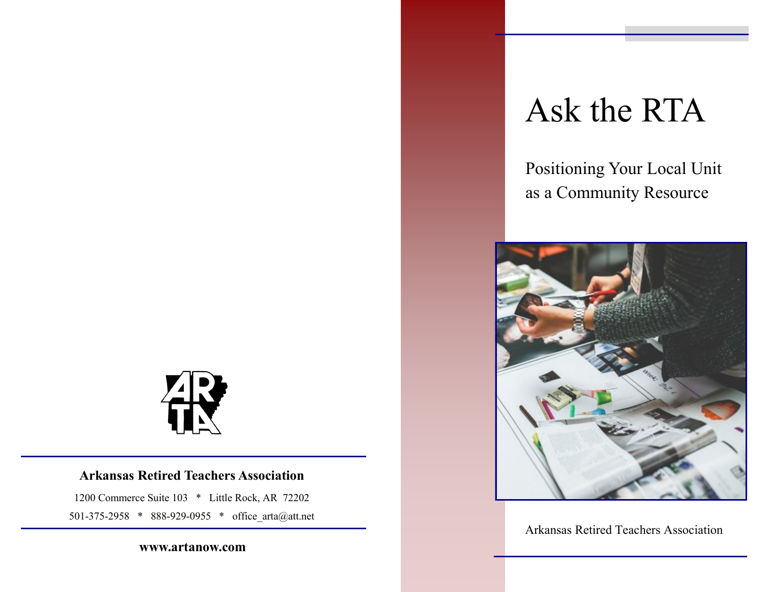

#### **Arkansas Retired Teachers Association**

1200 Commerce Suite 103 \* Little Rock, AR 72202 501-375-2958 \* 888-929-0955 \* office\_arta@att.net

**www.artanow.com**

# Ask the RTA

Positioning Your Local Unit as a Community Resource



Arkansas Retired Teachers Association